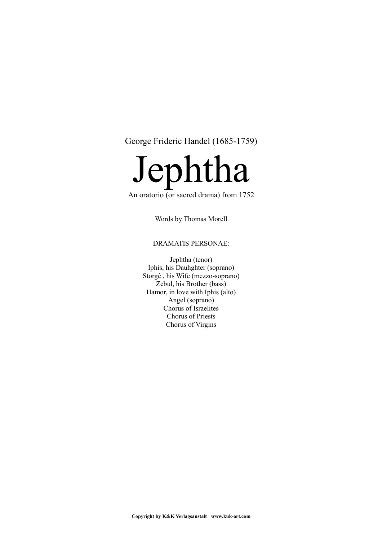George Frideric Handel (1685-1759)



# An oratorio (or sacred drama) from  $1752$

Words by Thomas Morell

# DRAMATIS PERSONAE:

Jephtha (tenor) Iphis, his Dauhghter (soprano) Storgè , his Wife (mezzo-soprano) Zebul, his Brother (bass) Hamor, in love with Iphis (alto) Angel (soprano) Chorus of Israelites Chorus of Priests Chorus of Virgins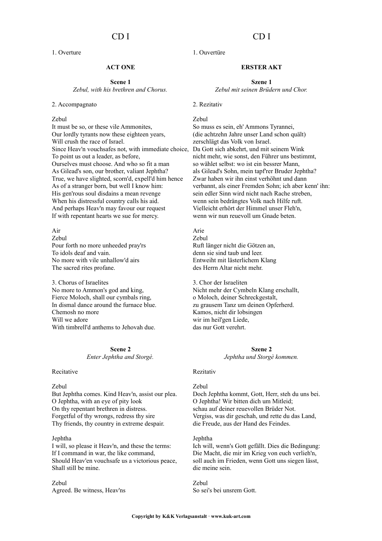# CD I

1. Overture

# **ACT ONE**

**Scene 1** *Zebul, with his brethren and Chorus.*

#### 2. Accompagnato

#### Zebul

It must be so, or these vile Ammonites, Our lordly tyrants now these eighteen years, Will crush the race of Israel. Since Heav'n vouchsafes not, with immediate choice, Da Gott sich abkehrt, und mit seinem Wink To point us out a leader, as before, Ourselves must choose. And who so fit a man As Gilead's son, our brother, valiant Jephtha? True, we have slighted, scorn'd, expell'd him hence As of a stranger born, but well I know him: His gen'rous soul disdains a mean revenge When his distressful country calls his aid. And perhaps Heav'n may favour our request If with repentant hearts we sue for mercy.

Air Zebul Pour forth no more unheeded pray'rs To idols deaf and vain. No more with vile unhallow'd airs The sacred rites profane.

3. Chorus of Israelites No more to Ammon's god and king, Fierce Moloch, shall our cymbals ring, In dismal dance around the furnace blue. Chemosh no more Will we adore With timbrell'd anthems to Jehovah due.

> **Scene 2** *Enter Jephtha and Storgè.*

### Recitative

#### Zebul

But Jephtha comes. Kind Heav'n, assist our plea. O Jephtha, with an eye of pity look On thy repentant brethren in distress. Forgetful of thy wrongs, redress thy sire Thy friends, thy country in extreme despair.

### Jephtha

I will, so please it Heav'n, and these the terms: If I command in war, the like command, Should Heav'en vouchsafe us a victorious peace, Shall still be mine.

Zebul Agreed. Be witness, Heav'ns

# 1. Ouvertüre

# **ERSTER AKT**

**Szene 1** *Zebul mit seinen Brüdern und Chor.*

#### 2. Rezitativ

### Zebul

So muss es sein, eh' Ammons Tyrannei, (die achtzehn Jahre unser Land schon quält) zerschlägt das Volk von Israel. nicht mehr, wie sonst, den Führer uns bestimmt, so wählet selbst: wo ist ein bessrer Mann, als Gilead's Sohn, mein tapf'rer Bruder Jephtha? Zwar haben wir ihn einst verhöhnt und dann verbannt, als einer Fremden Sohn; ich aber kenn' ihn: sein edler Sinn wird nicht nach Rache streben, wenn sein bedrängtes Volk nach Hilfe ruft. Vielleicht erhört der Himmel unser Fleh'n, wenn wir nun reuevoll um Gnade beten.

Arie Zebul Ruft länger nicht die Götzen an, denn sie sind taub und leer. Entweiht mit lästerlichem Klang des Herrn Altar nicht mehr.

3. Chor der Israeliten Nicht mehr der Cymbeln Klang erschallt, o Moloch, deiner Schreckgestalt, zu grausem Tanz um deinen Opferherd. Kamos, nicht dir lobsingen wir im heil'gen Liede, das nur Gott verehrt.

### **Szene 2**

*Jephtha und Storgè kommen.*

### Rezitativ

#### Zebul

Doch Jephtha kommt, Gott, Herr, steh du uns bei. O Jephtha! Wir bitten dich um Mitleid; schau auf deiner reuevollen Brüder Not. Vergiss, was dir geschah, und rette du das Land, die Freude, aus der Hand des Feindes.

#### Jephtha

Ich will, wenn's Gott gefällt. Dies die Bedingung: Die Macht, die mir im Krieg von euch verlieh'n, soll auch im Frieden, wenn Gott uns siegen lässt, die meine sein.

Zebul So sei's bei unsrem Gott.

# CD I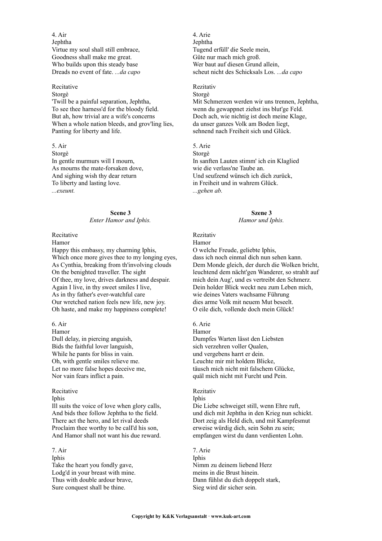4. Air Jephtha Virtue my soul shall still embrace, Goodness shall make me great. Who builds upon this steady base Dreads no event of fate. *...da capo*

### Recitative

### Storgè

'Twill be a painful separation, Jephtha, To see thee harness'd for the bloody field. But ah, how trivial are a wife's concerns When a whole nation bleeds, and grov'ling lies, Panting for liberty and life.

5. Air Storgè In gentle murmurs will I mourn, As mourns the mate-forsaken dove, And sighing wish thy dear return To liberty and lasting love. *...exeunt.*

### **Scene 3** *Enter Hamor and Iphis.*

# Recitative

Hamor

Happy this embassy, my charming Iphis, Which once more gives thee to my longing eyes, As Cynthia, breaking from th'involving clouds On the benighted traveller. The sight Of thee, my love, drives darkness and despair. Again I live, in thy sweet smiles I live, As in thy father's ever-watchful care Our wretched nation feels new life, new joy. Oh haste, and make my happiness complete!

6. Air Hamor Dull delay, in piercing anguish, Bids the faithful lover languish, While he pants for bliss in vain. Oh, with gentle smiles relieve me. Let no more false hopes deceive me,

Nor vain fears inflict a pain.

#### Recitative

### Iphis

Ill suits the voice of love when glory calls, And bids thee follow Jephtha to the field. There act the hero, and let rival deeds Proclaim thee worthy to be calI'd his son, And Hamor shall not want his due reward.

## 7. Air

Iphis Take the heart you fondly gave, Lodg'd in your breast with mine. Thus with double ardour brave, Sure conquest shall be thine.

4. Arie Jephtha Tugend erfüll' die Seele mein, Güte nur mach mich groß. Wer baut auf diesen Grund allein, scheut nicht des Schicksals Los. *...da capo*

#### Rezitativ Storgè

Mit Schmerzen werden wir uns trennen, Jephtha, wenn du gewappnet ziehst ins blut'ge Feld. Doch ach, wie nichtig ist doch meine Klage, da unser ganzes Volk am Boden liegt, sehnend nach Freiheit sich und Glück.

# 5. Arie

Storgè In sanften Lauten stimm' ich ein Klaglied wie die verlass'ne Taube an. Und seufzend wünsch ich dich zurück, in Freiheit und in wahrem Glück. *...gehen ab.*

### **Szene 3**

### *Hamor und Iphis.*

Rezitativ Hamor

O welche Freude, geliebte Iphis, dass ich noch einmal dich nun sehen kann. Dem Monde gleich, der durch die Wolken bricht, leuchtend dem nächt'gen Wanderer, so strahlt auf mich dein Aug', und es vertreibt den Schmerz. Dein holder Blick weckt neu zum Leben mich, wie deines Vaters wachsame Führung dies arme Volk mit neuem Mut beseelt. O eile dich, vollende doch mein Glück!

## 6. Arie

Hamor Dumpfes Warten lässt den Liebsten sich verzehren voller Qualen, und vergebens harrt er dein. Leuchte mir mit holdem Blicke, täusch mich nicht mit falschem Glücke, quäl mich nicht mit Furcht und Pein.

### Rezitativ

Iphis

Die Liebe schweiget still, wenn Ehre ruft, und dich mit Jephtha in den Krieg nun schickt. Dort zeig als Held dich, und mit Kampfesmut erweise würdig dich, sein Sohn zu sein; empfangen wirst du dann verdienten Lohn.

# 7. Arie

Iphis Nimm zu deinem liebend Herz meins in die Brust hinein. Dann fühlst du dich doppelt stark, Sieg wird dir sicher sein.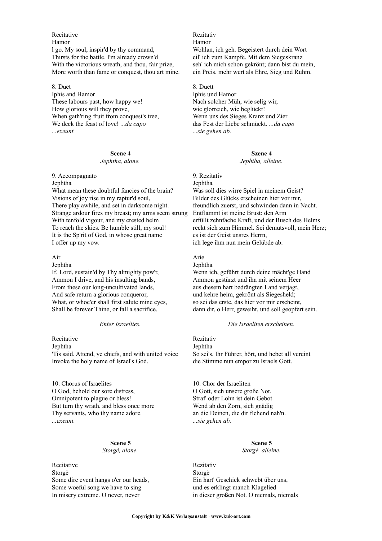**Recitative** Hamor l go. My soul, inspir'd by thy command, Thirsts for the battle. I'm already crown'd With the victorious wreath, and thou, fair prize, More worth than fame or conquest, thou art mine.

8. Duet Iphis and Hamor These labours past, how happy we! How glorious will they prove, When gath'ring fruit from conquest's tree, We deck the feast of love! *...da capo ...exeunt.*

## **Scene 4**

#### *Jephtha, alone.*

9. Accompagnato Jephtha What mean these doubtful fancies of the brain? Visions of joy rise in my raptur'd soul, There play awhile, and set in darksome night. Strange ardour fires my breast; my arms seem strung With tenfold vigour, and my crested helm To reach the skies. Be humble still, my soul! It is the Sp'rit of God, in whose great name I offer up my vow.

### Air

Jephtha

If, Lord, sustain'd by Thy almighty pow'r, Ammon I drive, and his insulting bands, From these our long-uncultivated lands, And safe return a glorious conqueror, What, or whoe'er shall first salute mine eyes, Shall be forever Thine, or fall a sacrifice.

#### *Enter Israelites.*

Recitative Jephtha 'Tis said. Attend, ye chiefs, and with united voice Invoke the holy name of Israel's God.

10. Chorus of Israelites O God, behold our sore distress, Omnipotent to plague or bless! But turn thy wrath, and bless once more Thy servants, who thy name adore. *...exeunt.*

#### **Scene 5** *Storgè, alone.*

Recitative Storgè Some dire event hangs o'er our heads, Some woeful song we have to sing In misery extreme. O never, never

Rezitativ Hamor Wohlan, ich geh. Begeistert durch dein Wort eil' ich zum Kampfe. Mit dem Siegeskranz seh' ich mich schon gekrönt; dann bist du mein, ein Preis, mehr wert als Ehre, Sieg und Ruhm.

8. Duett Iphis und Hamor Nach solcher Müh, wie selig wir, wie glorreich, wie beglückt! Wenn uns des Sieges Kranz und Zier das Fest der Liebe schmückt. *...da capo ...sie gehen ab.*

### **Szene 4**

#### *Jephtha, alleine.*

9. Rezitativ Jephtha Was soll dies wirre Spiel in meinem Geist? Bilder des Glücks erscheinen hier vor mir, freundlich zuerst, und schwinden dann in Nacht. Entflammt ist meine Brust: den Arm erfüllt zehnfache Kraft, und der Busch des Helms reckt sich zum Himmel. Sei demutsvoll, mein Herz; es ist der Geist unsres Herrn, ich lege ihm nun mein Gelübde ab.

# Arie

**Jephtha** 

Wenn ich, geführt durch deine mächt'ge Hand Ammon gestürzt und ihn mit seinem Heer aus diesem hart bedrängten Land verjagt, und kehre heim, gekrönt als Siegesheld; so sei das erste, das hier vor mir erscheint, dann dir, o Herr, geweiht, und soll geopfert sein.

#### *Die Israeliten erscheinen.*

Rezitativ Jephtha So sei's. Ihr Führer, hört, und hebet all vereint die Stimme nun empor zu Israels Gott.

10. Chor der Israeliten O Gott, sieh unsere große Not. Straf' oder Lohn ist dein Gebot. Wend ab den Zorn, sieh gnädig an die Deinen, die dir flehend nah'n. *...sie gehen ab.*

#### **Scene 5** *Storgè, alleine.*

Rezitativ Storgè Ein hart' Geschick schwebt über uns, und es erklingt manch Klagelied in dieser großen Not. O niemals, niemals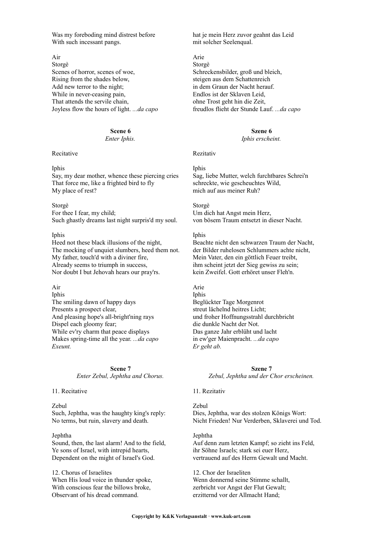Was my foreboding mind distrest before With such incessant pangs.

Air Storgè Scenes of horror, scenes of woe, Rising from the shades below, Add new terror to the night; While in never-ceasing pain, That attends the servile chain, Joyless flow the hours of light. *...da capo*

### **Scene 6**

*Enter Iphis.*

Recitative

### Inhis

Say, my dear mother, whence these piercing cries That force me, like a frighted bird to fly My place of rest?

#### Storgè

For thee I fear, my child; Such ghastly dreams last night surpris'd my soul.

### Iphis

Heed not these black illusions of the night, The mocking of unquiet slumbers, heed them not. My father, touch'd with a diviner fire, Already seems to triumph in success, Nor doubt I but Jehovah hears our pray'rs.

### Air

Iphis The smiling dawn of happy days Presents a prospect clear, And pleasing hope's all-bright'ning rays Dispel each gloomy fear; While ev'ry charm that peace displays Makes spring-time all the year. *...da capo Exeunt.*

> **Scene 7** *Enter Zebul, Jephtha and Chorus.*

#### 11. Recitative

### Zebul

Such, Jephtha, was the haughty king's reply: No terms, but ruin, slavery and death.

### Jephtha

Sound, then, the last alarm! And to the field, Ye sons of Israel, with intrepid hearts, Dependent on the might of IsraeI's God.

12. Chorus of Israelites When His loud voice in thunder spoke, With conscious fear the billows broke, Observant of his dread command.

hat je mein Herz zuvor geahnt das Leid mit solcher Seelenqual.

Arie Storgè Schreckensbilder, groß und bleich, steigen aus dem Schattenreich in dem Graun der Nacht herauf. Endlos ist der Sklaven Leid, ohne Trost geht hin die Zeit, freudlos flieht der Stunde Lauf. *...da capo*

### **Szene 6**

### *Iphis erscheint.*

#### Rezitativ

#### Iphis

Sag, liebe Mutter, welch furchtbares Schrei'n schreckte, wie gescheuchtes Wild, mich auf aus meiner Ruh?

# Storgè

Um dich hat Angst mein Herz, von bösem Traum entsetzt in dieser Nacht.

### Iphis

Beachte nicht den schwarzen Traum der Nacht, der Bilder ruhelosen Schlummers achte nicht, Mein Vater, den ein göttlich Feuer treibt, ihm scheint jetzt der Sieg gewiss zu sein; kein Zweifel. Gott erhöret unser Fleh'n.

### Arie

Iphis Beglückter Tage Morgenrot streut lächelnd heitres Licht; und froher Hoffnungsstrahl durchbricht die dunkle Nacht der Not. Das ganze Jahr erblüht und lacht in ew'ger Maienpracht. *...da capo Er geht ab.*

> **Szene 7** *Zebul, Jephtha und der Chor erscheinen.*

### 11. Rezitativ

Zebul Dies, Jephtha, war des stolzen Königs Wort: Nicht Frieden! Nur Verderben, Sklaverei und Tod.

#### Jephtha

Auf denn zum letzten Kampf; so zieht ins Feld, ihr Söhne Israels; stark sei euer Herz, vertrauend auf des Herrn Gewalt und Macht.

12. Chor der Israeliten Wenn donnernd seine Stimme schallt, zerbricht vor Angst der Flut Gewalt; erzitternd vor der Allmacht Hand;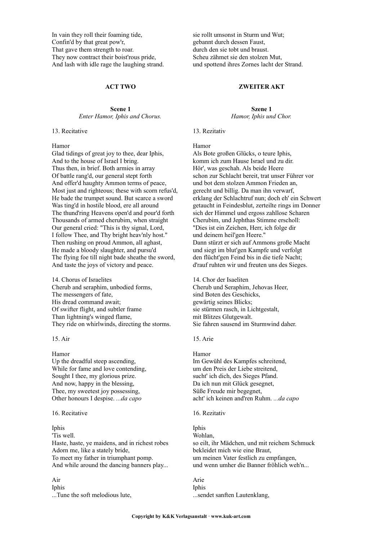In vain they roll their foaming tide, Confin'd by that great pow'r, That gave them strength to roar. They now contract their boist'rous pride, And lash with idle rage the laughing strand.

#### **ACT TWO**

### **Scene 1** *Enter Hamor, Iphis and Chorus.*

13. Recitative

Hamor

Glad tidings of great joy to thee, dear Iphis, And to the house of Israel I bring. Thus then, in brief. Both armies in array Of battle rang'd, our general stept forth And offer'd haughty Ammon terms of peace, Most just and righteous; these with scorn refus'd, He bade the trumpet sound. But scarce a sword Was ting'd in hostile blood, ere all around The thund'ring Heavens open'd and pour'd forth Thousands of armed cherubim, when straight Our general cried: "This is thy signal, Lord, I follow Thee, and Thy bright heav'nly host." Then rushing on proud Ammon, all aghast, He made a bloody slaughter, and pursu'd The flying foe till night bade sheathe the sword, And taste the joys of victory and peace.

14. Chorus of Israelites Cherub and seraphim, unbodied forms, The messengers of fate, His dread command await; Of swifter flight, and subtler frame Than lightning's winged flame, They ride on whirlwinds, directing the storms.

15. Air

Hamor Up the dreadful steep ascending, While for fame and love contending, Sought I thee, my glorious prize. And now, happy in the blessing, Thee, my sweetest joy possessing, Other honours I despise. *...da capo*

#### 16. Recitative

Iphis 'Tis well. Haste, haste, ye maidens, and in richest robes Adorn me, like a stately bride, To meet my father in triumphant pomp. And while around the dancing banners play...

# Air Iphis

...Tune the soft melodious lute,

sie rollt umsonst in Sturm und Wut; gebannt durch dessen Faust, durch den sie tobt und braust. Scheu zähmet sie den stolzen Mut, und spottend ihres Zornes lacht der Strand.

### **ZWEITER AKT**

**Szene 1** *Hamor, Iphis und Chor.*

13. Rezitativ

Hamor

Als Bote großen Glücks, o teure Iphis, komm ich zum Hause Israel und zu dir. Hör', was geschah. Als beide Heere schon zur Schlacht bereit, trat unser Führer vor und bot dem stolzen Ammon Frieden an, gerecht und billig. Da man ihn verwarf, erklang der Schlachtruf nun; doch eh' ein Schwert getaucht in Feindesblut, zerteilte rings im Donner sich der Himmel und ergoss zahllose Scharen Cherubim, und Jephthas Stimme erscholl: "Dies ist ein Zeichen, Herr, ich folge dir und deinem heil'gen Heere." Dann stürzt er sich auf Ammons große Macht und siegt im blut'gen Kampfe und verfolgt den flücht'gen Feind bis in die tiefe Nacht; d'rauf ruhten wir und freuten uns des Sieges.

14. Chor der Isaeliten Cherub und Seraphim, Jehovas Heer, sind Boten des Geschicks, gewärtig seines Blicks; sie stürmen rasch, in Lichtgestalt, mit Blitzes Glutgewalt. Sie fahren sausend im Sturmwind daher.

## 15. Arie

Hamor Im Gewühl des Kampfes schreitend, um den Preis der Liebe streitend, sucht' ich dich, des Sieges Pfand. Da ich nun mit Glück gesegnet, Süße Freude mir begegnet, acht' ich keinen and'ren Ruhm. *...da capo*

#### 16. Rezitativ

Iphis Wohlan, so eilt, ihr Mädchen, und mit reichem Schmuck bekleidet mich wie eine Braut, um meinen Vater festlich zu empfangen, und wenn umher die Banner fröhlich weh'n...

Arie Iphis ...sendet sanften Lautenklang,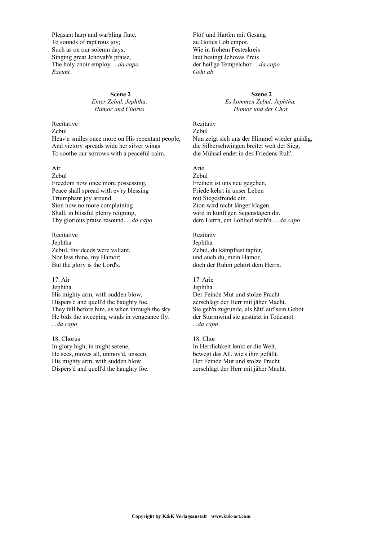Pleasant harp and warbling flute, To sounds of rapt'rous joy; Such as on our solemn days, Singing great Jehovah's praise, The holy choir employ. *...da capo Exeunt.*

> **Scene 2** *Enter Zebul, Jephtha, Hamor and Chorus.*

#### Recitative Zebul

Heav'n smiles once more on His repentant people, And victory spreads wide her silver wings To soothe our sorrows with a peaceful calm.

# Air

Zebul Freedom now once more possessing, Peace shall spread with ev'ry blessing Triumphant joy around. Sion now no more complaining Shall, in blissful plenty reigning, Thy glorious praise resound. *...da capo*

Recitative Jephtha ZebuI, thy·deeds were vaIiant, Nor Iess thine, my Hamor; But the glory is the Lord's.

## 17. Air

Jephtha His mighty arm, with sudden blow, Dispers'd and quell'd the haughty foe. They fell before him, as when through the sky He bids the sweeping winds in vengeance fly. *...da capo*

18. Chorus In glory high, in might serene, He sees, moves all, unmov'd, unseen. His mighty arm, with sudden blow Dispers'd and quell'd the haughty foe. Flöt' und Harfen mit Gesang zu Gottes Lob empor. Wie in frohem Festeskreis laut besingt Jehovas Preis der heil'ge Tempelchor. *...da capo Geht ab.*

> **Szene 2** *Es kommen Zebul, Jephtha, Hamor und der Chor.*

Rezitativ Zebul Nun zeigt sich uns der Himmel wieder gnädig, die Silberschwingen breitet weit der Sieg, die Mühsal endet in des Friedens Ruh'.

Arie Zebul Freiheit ist uns neu gegeben, Friede kehrt in unser Leben mit Siegesfreude ein. Zion wird nicht länger klagen, wird in künft'gen Segenstagen dir, dem Herrn, ein Loblied weih'n. *...da capo*

Rezitativ Jephtha Zebul, du kämpftest tapfer, und auch du, mein Hamor, doch der Ruhm gehört dem Herrn.

17. Arie Jephtha Der Feinde Mut und stolze Pracht zerschlägt der Herr mit jäher Macht. Sie geh'n zugrunde, als hätt' auf sein Gebot der Sturmwind sie gestürzt in Todesnot. *...da capo*

18. Chor In Herrlichkeit lenkt er die Welt, bewegt das All, wie's ihm gefällt. Der Feinde Mut und stolze Pracht zerschlägt der Herr mit jäher Macht.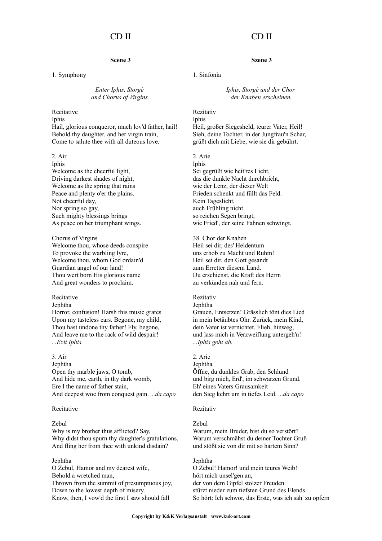# CD II

# **Scene 3**

1. Symphony

### *Enter Iphis, Storgè and Chorus of Virgins.*

# Recitative Iphis

Hail, glorious conqueror, much lov'd father, hail! Behold thy daughter, and her virgin train, Come to salute thee with all duteous love.

#### 2. Air

Iphis Welcome as the cheerful light, Driving darkest shades of night, Welcome as the spring that rains Peace and plenty o'er the plains. Not cheerful day, Nor spring so gay, Such mighty blessings brings As peace on her triumphant wings.

Chorus of Virgins Welcome thou, whose deeds conspire To provoke the warbling lyre, Welcome thou, whom God ordain'd Guardian angel of our land! Thou wert born His glorious name And great wonders to proclaim.

### Recitative

#### Jephtha

Horror, confusion! Harsh this music grates Upon my tasteless ears. Begone, my child, Thou hast undone thy father! Fly, begone, And leave me to the rack of wild despair! *...Exit Iphis.*

#### 3. Air

Jephtha Open thy marble jaws, O tomb, And hide me, earth, in thy dark womb, Ere I the name of father stain, And deepest woe from conquest gain. *...da capo*

#### Recitative

#### Zebul

Why is my brother thus afflicted? Say, Why didst thou spurn thy daughter's gratulations, And fling her from thee with unkind disdain?

### Jephtha

O Zebul, Hamor and my dearest wife, Behold a wretched man, Thrown from the summit of presumptuous joy, Down to the lowest depth of misery. Know, then, I vow'd the first I saw should fall

# CD II

## **Szene 3**

# 1. Sinfonia

*Iphis, Storgè und der Chor der Knaben erscheinen.*

### Rezitativ Iphis

Heil, großer Siegesheld, teurer Vater, Heil! Sieh, deine Tochter, in der Jungfrau'n Schar, grüßt dich mit Liebe, wie sie dir gebührt.

#### 2. Arie

Iphis Sei gegrüßt wie heit'res Licht, das die dunkle Nacht durchbricht, wie der Lenz, der dieser Welt Frieden schenkt und füllt das Feld. Kein Tageslicht, auch Frühling nicht so reichen Segen bringt, wie Fried', der seine Fahnen schwingt.

38. Chor der Knaben Heil sei dir, des' Heldentum uns erhob zu Macht und Ruhm! Heil sei dir, den Gott gesandt zum Erretter diesem Land. Du erschienst, die Kraft des Herrn zu verkünden nah und fern.

# Rezitativ

# Jephtha

Grauen, Entsetzen! Grässlich tönt dies Lied in mein betäubtes Ohr. Zurück, mein Kind, dein Vater ist vernichtet. Flieh, hinweg, und lass mich in Verzweiflung untergeh'n! *...Iphis geht ab.*

### 2. Arie

Jephtha Öffne, du dunkles Grab, den Schlund und birg mich, Erd', im schwarzen Grund. Eh' eines Vaters Grausamkeit den Sieg kehrt um in tiefes Leid. *...da capo*

#### Rezitativ

#### Zebul

Warum, mein Bruder, bist du so verstört? Warum verschmähst du deiner Tochter Gruß und stößt sie von dir mit so hartem Sinn?

#### Jephtha

O Zebul! Hamor! und mein teures Weib! hört mich unsel'gen an, der von dem Gipfel stolzer Freuden stürzt nieder zum tiefsten Grund des Elends. So hört: Ich schwor, das Erste, was ich säh' zu opfern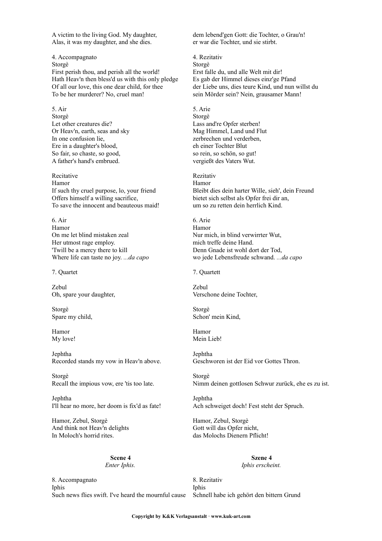A victim to the living God. My daughter, Alas, it was my daughter, and she dies.

4. Accompagnato Storgè First perish thou, and perish all the world! Hath Heav'n then bless'd us with this only pledge Of all our love, this one dear child, for thee To be her murderer? No, cruel man!

5. Air Storgè Let other creatures die? Or Heav'n, earth, seas and sky In one confusion lie, Ere in a daughter's blood, So fair, so chaste, so good, A father's hand's embrued.

Recitative Hamor If such thy cruel purpose, lo, your friend Offers himself a willing sacrifice, To save the innocent and beauteous maid!

6. Air Hamor On me let blind mistaken zeal Her utmost rage employ. 'Twill be a mercy there to kill Where life can taste no joy. *...da capo*

7. Quartet

Zebul Oh, spare your daughter,

Storgè Spare my child,

Hamor My love!

Jephtha Recorded stands my vow in Heav'n above.

Storgè Recall the impious vow, ere 'tis too late.

Jephtha I'll hear no more, her doom is fix'd as fate!

Hamor, Zebul, Storgè And think not Heav'n delights In Moloch's horrid rites.

> **Scene 4** *Enter Iphis.*

8. Accompagnato Iphis Such news flies swift. I've heard the mournful cause dem lebend'gen Gott: die Tochter, o Grau'n! er war die Tochter, und sie stirbt.

4. Rezitativ Storgè Erst falle du, und alle Welt mit dir! Es gab der Himmel dieses einz'ge Pfand der Liebe uns, dies teure Kind, und nun willst du sein Mörder sein? Nein, grausamer Mann!

5. Arie Storgè Lass and're Opfer sterben! Mag Himmel, Land und Flut zerbrechen und verderben, eh einer Tochter Blut so rein, so schön, so gut! vergießt des Vaters Wut.

Rezitativ Hamor Bleibt dies dein harter Wille, sieh', dein Freund bietet sich selbst als Opfer frei dir an, um so zu retten dein herrlich Kind.

6. Arie Hamor Nur mich, in blind verwirrter Wut, mich treffe deine Hand. Denn Gnade ist wohl dort der Tod, wo jede Lebensfreude schwand. *...da capo*

7. Quartett

Zebul Verschone deine Tochter,

Storgè Schon' mein Kind,

Hamor Mein Lieb!

Jephtha Geschworen ist der Eid vor Gottes Thron.

Storgè Nimm deinen gottlosen Schwur zurück, ehe es zu ist.

Jephtha Ach schweiget doch! Fest steht der Spruch.

Hamor, Zebul, Storgè Gott will das Opfer nicht, das Molochs Dienern Pflicht!

> **Szene 4** *Iphis erscheint.*

8. Rezitativ Iphis Schnell habe ich gehört den bittern Grund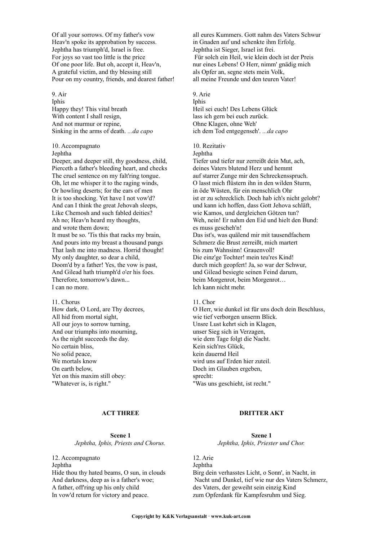Of all your sorrows. Of my father's vow Heav'n spoke its approbation by success. Jephtha has triumph'd, Israel is free. For joys so vast too little is the price Of one poor life. But oh, accept it, Heav'n, A grateful victim, and thy blessing still Pour on my country, friends, and dearest father!

9. Air

Iphis Happy they! This vital breath With content I shall resign, And not murmur or repine, Sinking in the arms of death. *...da capo*

#### 10. Accompagnato **Jephtha**

Deeper, and deeper still, thy goodness, child, Pierceth a father's bleeding heart, and checks The cruel sentence on my falt'ring tongue. Oh, let me whisper it to the raging winds, Or howling deserts; for the ears of men It is too shocking. Yet have I not vow'd? And can I think the great Jehovah sleeps, Like Chemosh and such fabled deities? Ah no; Heav'n heard my thoughts, and wrote them down; It must be so. 'Tis this that racks my brain, And pours into my breast a thousand pangs That lash me into madness. Horrid thought! My only daughter, so dear a child, Doom'd by a father! Yes, the vow is past, And Gilead hath triumph'd o'er his foes. Therefore, tomorrow's dawn... I can no more.

## 11. Chorus

How dark, O Lord, are Thy decrees, All hid from mortal sight, All our joys to sorrow turning, And our triumphs into mourning, As the night succeeds the day. No certain bliss, No solid peace, We mortals know On earth below, Yet on this maxim still obey: "Whatever is, is right."

# **ACT THREE**

**Scene 1** *Jephtha, Iphis, Priests and Chorus.*

12. Accompagnato Jephtha Hide thou thy hated beams, O sun, in clouds And darkness, deep as is a father's woe; A father, off'ring up his only child In vow'd return for victory and peace.

all eures Kummers. Gott nahm des Vaters Schwur in Gnaden auf und schenkte ihm Erfolg. Jephtha ist Sieger, Israel ist frei. Für solch ein Heil, wie klein doch ist der Preis nur eines Lebens! O Herr, nimm' gnädig mich als Opfer an, segne stets mein Volk, all meine Freunde und den teuren Vater!

# 9. Arie

Iphis Heil sei euch! Des Lebens Glück lass ich gern bei euch zurück. Ohne Klagen, ohne Weh' ich dem Tod entgegenseh'. *...da capo*

# 10. Rezitativ

Jephtha

Tiefer und tiefer nur zerreißt dein Mut, ach, deines Vaters blutend Herz und hemmt auf starrer Zunge mir den Schreckensspruch. O lasst mich flüstern ihn in den wilden Sturm, in öde Wüsten, für ein menschlich Ohr ist er zu schrecklich. Doch hab ich's nicht gelobt? und kann ich hoffen, dass Gott Jehova schläft, wie Kamos, und dergleichen Götzen tun? Weh, nein! Er nahm den Eid und hielt den Bund: es muss gescheh'n! Das ist's, was quälend mir mit tausendfachem Schmerz die Brust zerreißt, mich martert bis zum Wahnsinn! Grauenvoll! Die einz'ge Tochter! mein teu'res Kind! durch mich geopfert! Ja, so war der Schwur, und Gilead besiegte seinen Feind darum, beim Morgenrot, beim Morgenrot… Ich kann nicht mehr.

### $11$ . Chor

O Herr, wie dunkel ist für uns doch dein Beschluss, wie tief verborgen unserm Blick. Unsre Lust kehrt sich in Klagen, unser Sieg sich in Verzagen, wie dem Tage folgt die Nacht. Kein sich'res Glück, kein dauernd Heil wird uns auf Erden hier zuteil. Doch im Glauben ergeben, sprecht: "Was uns geschieht, ist recht."

# **DRITTER AKT**

**Szene 1** *Jephtha, Iphis, Priester und Chor.*

12. Arie Jephtha Birg dein verhasstes Licht, o Sonn', in Nacht, in Nacht und Dunkel, tief wie nur des Vaters Schmerz, des Vaters, der geweiht sein einzig Kind zum Opferdank für Kampfesruhm und Sieg.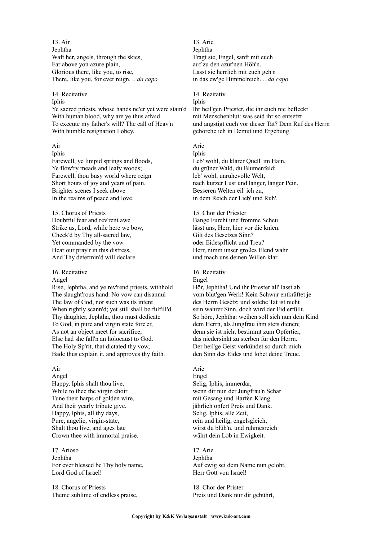13. Air Jephtha Waft her, angels, through the skies, Far above yon azure plain, Glorious there, like you, to rise, There, like you, for ever reign. *...da capo*

# 14. Recitative Iphis Ye sacred priests, whose hands ne'er yet were stain'd With human blood, why are ye thus afraid To execute my father's will? The call of Heav'n With humble resignation I obey.

# Air

Iphis Farewell, ye limpid springs and floods, Ye flow'ry meads and leafy woods; Farewell, thou busy world where reign Short hours of joy and years of pain. Brighter scenes I seek above In the realms of peace and love.

15. Chorus of Priests Doubtful fear and rev'rent awe Strike us, Lord, while here we bow, Check'd by Thy all-sacred law, Yet commanded by the vow. Hear our pray'r in this distress, And Thy determin'd will declare.

## 16. Recitative

### Angel

Rise, Jephtha, and ye rev'rend priests, withhold The slaught'rous hand. No vow can disannul The law of God, nor such was its intent When rightly scann'd; yet still shall be fulfilI'd. Thy daughter, Jephtha, thou must dedicate To God, in pure and virgin state fore'er, As not an object meet for sacrifice, Else had she fall'n an holocaust to God. The Holy Sp'rit, that dictated thy vow, Bade thus explain it, and approves thy faith.

### Air

Angel Happy, Iphis shalt thou live, While to thee the virgin choir Tune their harps of golden wire, And their yearly tribute give. Happy, Iphis, all thy days, Pure, angelic, virgin-state, Shalt thou live, and ages late Crown thee with immortal praise.

17. Arioso Jephtha For ever blessed be Thy holy name, Lord God of Israel!

18. Chorus of Priests Theme sublime of endless praise,

13. Arie Jephtha Tragt sie, Engel, sanft mit euch auf zu den azur'nen Höh'n. Lasst sie herrlich mit euch geh'n in das ew'ge Himmelreich. *...da capo*

# 14. Rezitativ

Iphis Ihr heil'gen Priester, die ihr euch nie befleckt mit Menschenblut: was seid ihr so entsetzt und ängstigt euch vor dieser Tat? Dem Ruf des Herrn gehorche ich in Demut und Ergebung.

# Arie

Iphis Leb' wohl, du klarer Quell' im Hain, du grüner Wald, du Blumenfeld; leb' wohl, unruhevolle Welt, nach kurzer Lust und langer, langer Pein. Besseren Welten eil' ich zu, in dem Reich der Lieb' und Ruh'.

15. Chor der Priester Bange Furcht und fromme Scheu lässt uns, Herr, hier vor die knien. Gilt des Gesetzes Sinn? oder Eidespflicht und Treu? Herr, nimm unser großes Elend wahr und mach uns deinen Willen klar.

#### 16. Rezitativ Engel

Hör, Jephtha! Und ihr Priester all' lasst ab vom blut'gen Werk! Kein Schwur entkräftet je des Herrn Gesetz; und solche Tat ist nicht sein wahrer Sinn, doch wird der Eid erfüllt. So höre, Jephtha: weihen soll sich nun dein Kind dem Herrn, als Jungfrau ihm stets dienen; denn sie ist nicht bestimmt zum Opfertier, das niedersinkt zu sterben für den Herrn. Der heil'ge Geist verkündet so durch mich den Sinn des Eides und lobet deine Treue.

# Arie

Engel Selig, Iphis, immerdar, wenn dir nun der Jungfrau'n Schar mit Gesang und Harfen Klang jährlich opfert Preis und Dank. Selig, Iphis, alle Zeit, rein und heilig, engelsgleich, wirst du blüh'n, und ruhmesreich währt dein Lob in Ewigkeit.

# 17. Arie

Jephtha Auf ewig sei dein Name nun gelobt, Herr Gott von Israel!

18. Chor der Prister Preis und Dank nur dir gebührt,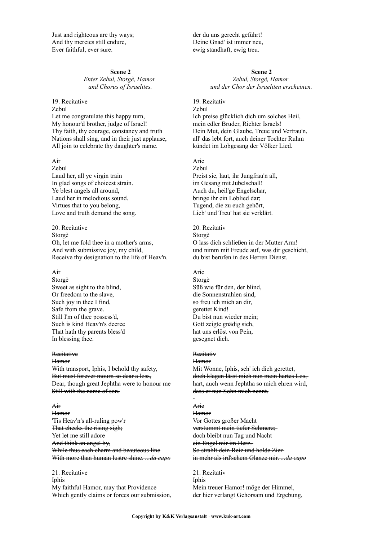Just and righteous are thy ways; And thy mercies still endure, Ever faithful, ever sure.

### **Scene 2**

*Enter Zebul, Storgè, Hamor and Chorus of Israelites.*

19. Recitative Zebul Let me congratulate this happy turn, My honour'd brother, judge of Israel! Thy faith, thy courage, constancy and truth Nations shall sing, and in their just applause. All join to celebrate thy daughter's name.

Air Zebul Laud her, all ye virgin train In glad songs of choicest strain. Ye blest angels all around, Laud her in melodious sound. Virtues that to you belong, Love and truth demand the song.

20. Recitative Storgè Oh, let me fold thee in a mother's arms, And with submissive joy, my child, Receive thy designation to the life of Heav'n.

# Air

Storgè Sweet as sight to the blind, Or freedom to the slave, Such joy in thee I find, Safe from the grave. Still I'm of thee possess'd, Such is kind Heav'n's decree That hath thy parents bless'd In blessing thee.

#### **Recitative**

Hamor With transport, Iphis, I behold thy safety, But must forever mourn so dear a loss, Dear, though great Jephtha were to honour me Still with the name of son.

Air **Hamor** 'Tis Heav'n's all-ruling pow'r That checks the rising sigh; Yet let me still adore And think an angel by, While thus each charm and beauteous line With more than human lustre shine. *...da capo*

21. Recitative Iphis My faithful Hamor, may that Providence Which gently claims or forces our submission, der du uns gerecht geführt! Deine Gnad' ist immer neu, ewig standhaft, ewig treu.

# **Scene 2**

*Zebul, Storgè, Hamor und der Chor der Israeliten erscheinen.*

19. Rezitativ Zebul Ich preise glücklich dich um solches Heil, mein edler Bruder, Richter Israels! Dein Mut, dein Glaube, Treue und Vertrau'n, all' das lebt fort, auch deiner Tochter Ruhm kündet im Lobgesang der Völker Lied.

# Arie

Zebul Preist sie, laut, ihr Jungfrau'n all, im Gesang mit Jubelschall! Auch du, heil'ge Engelschar, bringe ihr ein Loblied dar; Tugend, die zu euch gehört, Lieb' und Treu' hat sie verklärt.

20. Rezitativ Storgè O lass dich schließen in der Mutter Arm! und nimm mit Freude auf, was dir geschieht, du bist berufen in des Herren Dienst.

# Arie

Storgè Süß wie für den, der blind, die Sonnenstrahlen sind, so freu ich mich an dir, gerettet Kind! Du bist nun wieder mein; Gott zeigte gnädig sich, hat uns erlöst von Pein, gesegnet dich.

### Rezitativ

**Hamor** Mit Wonne, Iphis, seh' ich dich gerettet, doch klagen lässt mich nun mein hartes Los, hart, auch wenn Jephtha so mich ehren wird, dass er nun Sohn mich nennt.

#### Arie

**Hamor** Vor Gottes großer Macht verstummt mein tiefer Schmerz; doch bleibt nun Tag und Nacht ein Engel mir im Herz. So strahlt dein Reiz und holde Zier in mehr als ird'schem Glanze mir. *...da capo*

21. Rezitativ Iphis Mein treuer Hamor! möge der Himmel, der hier verlangt Gehorsam und Ergebung,